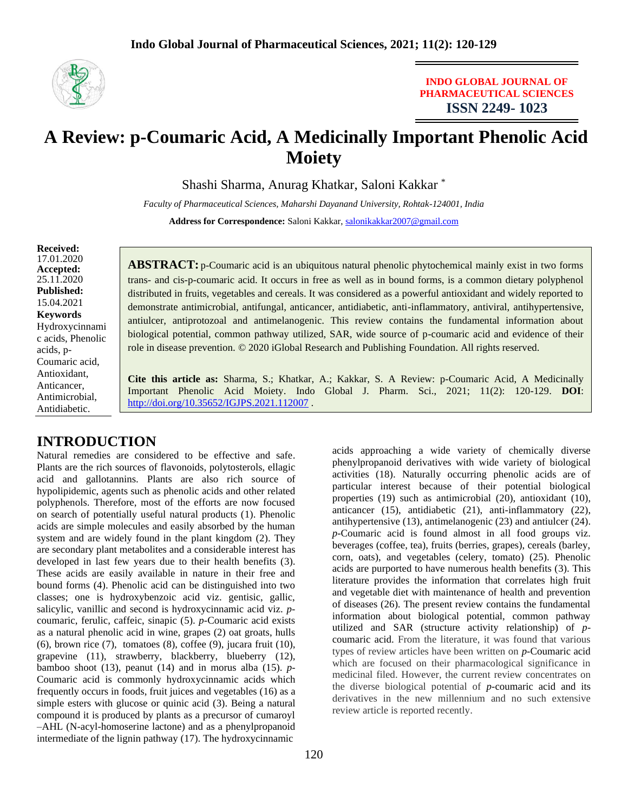

## **INDO GLOBAL JOURNAL OF PHARMACEUTICAL SCIENCES ISSN 2249- 1023**

# **A Review: p-Coumaric Acid, A Medicinally Important Phenolic Acid Moiety**

Shashi Sharma, Anurag Khatkar, Saloni Kakkar \*

*Faculty of Pharmaceutical Sciences, Maharshi Dayanand University, Rohtak-124001, India* Address for Correspondence: Saloni Kakkar, [salonikakkar2007@gmail.com](mailto:salonikakkar2007@gmail.com)

**Received:** 17.01.2020 **Accepted:**  25.11.2020 **Published:** 15.04.2021 **Keywords** Hydroxycinnami c acids, Phenolic acids, p-Coumaric acid, Antioxidant, Anticancer, Antimicrobial, Antidiabetic.

**ABSTRACT:** p-Coumaric acid is an ubiquitous natural phenolic phytochemical mainly exist in two forms trans- and cis-p-coumaric acid. It occurs in free as well as in bound forms, is a common dietary polyphenol distributed in fruits, vegetables and cereals. It was considered as a powerful antioxidant and widely reported to demonstrate antimicrobial, antifungal, anticancer, antidiabetic, anti-inflammatory, antiviral, antihypertensive, antiulcer, antiprotozoal and antimelanogenic. This review contains the fundamental information about biological potential, common pathway utilized, SAR, wide source of p-coumaric acid and evidence of their role in disease prevention. © 2020 iGlobal Research and Publishing Foundation. All rights reserved.

**Cite this article as:** Sharma, S.; Khatkar, A.; Kakkar, S. A Review: p-Coumaric Acid, A Medicinally Important Phenolic Acid Moiety. Indo Global J. Pharm. Sci., 2021; 11(2): 120-129. **DOI**: <http://doi.org/10.35652/IGJPS.2021.112007> .

# **INTRODUCTION**

Natural remedies are considered to be effective and safe. Plants are the rich sources of flavonoids, polytosterols, ellagic acid and gallotannins. Plants are also rich source of hypolipidemic, agents such as phenolic acids and other related polyphenols. Therefore, most of the efforts are now focused on search of potentially useful natural products (1). Phenolic acids are simple molecules and easily absorbed by the human system and are widely found in the plant kingdom (2). They are secondary plant metabolites and a considerable interest has developed in last few years due to their health benefits (3). These acids are easily available in nature in their free and bound forms (4). Phenolic acid can be distinguished into two classes; one is hydroxybenzoic acid viz. gentisic, gallic, salicylic, vanillic and second is hydroxycinnamic acid viz. *p*coumaric, ferulic, caffeic, sinapic (5). *p*-Coumaric acid exists as a natural phenolic acid in wine, grapes (2) oat groats, hulls (6), brown rice (7), tomatoes (8), coffee (9), jucara fruit (10), grapevine (11), strawberry, blackberry, blueberry (12), bamboo shoot (13), peanut (14) and in morus alba (15). *p*-Coumaric acid is commonly hydroxycinnamic acids which frequently occurs in foods, fruit juices and vegetables (16) as a simple esters with glucose or quinic acid (3). Being a natural compound it is produced by plants as a precursor of cumaroyl –AHL (N-acyl-homoserine lactone) and as a phenylpropanoid intermediate of the lignin pathway (17). The hydroxycinnamic

acids approaching a wide variety of chemically diverse phenylpropanoid derivatives with wide variety of biological activities (18). Naturally occurring phenolic acids are of particular interest because of their potential biological properties (19) such as antimicrobial (20), antioxidant (10), anticancer (15), antidiabetic (21), anti-inflammatory (22), antihypertensive (13), antimelanogenic (23) and antiulcer (24). *p*-Coumaric acid is found almost in all food groups viz. beverages (coffee, tea), fruits (berries, grapes), cereals (barley, corn, oats), and vegetables (celery, tomato) (25). Phenolic acids are purported to have numerous health benefits (3). This literature provides the information that correlates high fruit and vegetable diet with maintenance of health and prevention of diseases (26). The present review contains the fundamental information about biological potential, common pathway utilized and SAR (structure activity relationship) of *p*coumaric acid. From the literature, it was found that various types of review articles have been written on *p*-Coumaric acid which are focused on their pharmacological significance in medicinal filed. However, the current review concentrates on the diverse biological potential of *p*-coumaric acid and its derivatives in the new millennium and no such extensive review article is reported recently.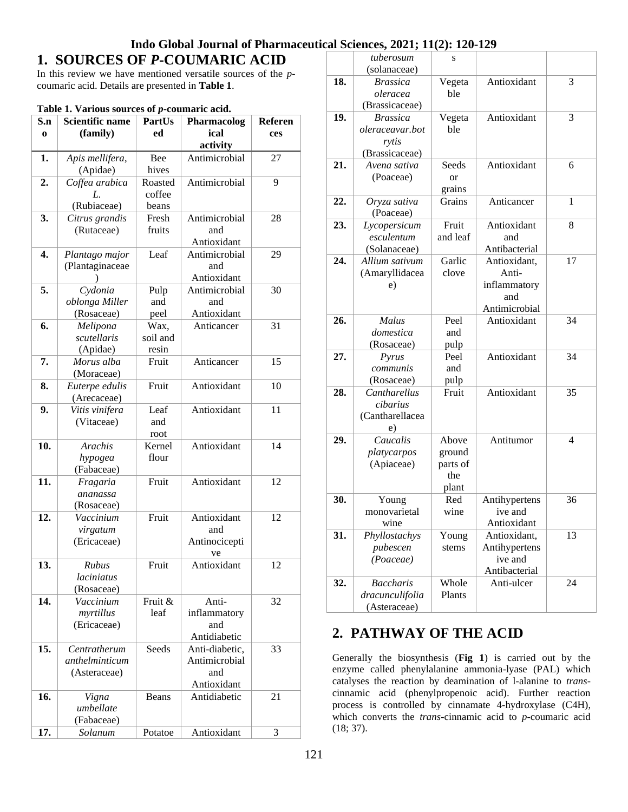# **1. SOURCES OF** *P***-COUMARIC ACID**

In this review we have mentioned versatile sources of the *p*coumaric acid. Details are presented in **Table 1**.

| S.n              | <b>Scientific name</b>  | PartUs   | <b>Pharmacolog</b>  | Referen |
|------------------|-------------------------|----------|---------------------|---------|
| $\bf{0}$         | (family)                | ed       | ical                | ces     |
|                  |                         |          | activity            |         |
| 1.               | Apis mellifera,         | Bee      | Antimicrobial       | 27      |
|                  | (Apidae)                | hives    |                     |         |
| $\overline{2}$ . | Coffea arabica          | Roasted  | Antimicrobial       | 9       |
|                  | L.                      | coffee   |                     |         |
|                  | (Rubiaceae)             | beans    |                     |         |
| 3.               | Citrus grandis          | Fresh    | Antimicrobial       | 28      |
|                  | (Rutaceae)              | fruits   | and                 |         |
|                  |                         |          | Antioxidant         |         |
| 4.               | Plantago major          | Leaf     | Antimicrobial       | 29      |
|                  | (Plantaginaceae         |          | and                 |         |
|                  |                         |          | Antioxidant         |         |
| 5.               | Cydonia                 | Pulp     | Antimicrobial       | 30      |
|                  | oblonga Miller          | and      | and                 |         |
|                  | (Rosaceae)              | peel     | Antioxidant         |         |
| 6.               | Melipona                | Wax,     | Anticancer          | 31      |
|                  | scutellaris             | soil and |                     |         |
|                  | (Apidae)                | resin    |                     |         |
| 7.               | Morus alba              | Fruit    | Anticancer          | 15      |
|                  | (Moraceae)              |          |                     |         |
| 8.               | Euterpe edulis          | Fruit    | Antioxidant         | 10      |
|                  | (Arecaceae)             |          |                     |         |
| 9.               | Vitis vinifera          | Leaf     | Antioxidant         | 11      |
|                  | (Vitaceae)              | and      |                     |         |
|                  |                         | root     |                     |         |
| 10.              | <b>Arachis</b>          | Kernel   | Antioxidant         | 14      |
|                  | hypogea                 | flour    |                     |         |
|                  | (Fabaceae)              |          |                     |         |
| 11.              | Fragaria                | Fruit    | Antioxidant         | 12      |
|                  | ananassa                |          |                     |         |
| 12.              | (Rosaceae)              | Fruit    |                     |         |
|                  | Vaccinium               |          | Antioxidant         | 12      |
|                  | virgatum<br>(Ericaceae) |          | and                 |         |
|                  |                         |          | Antinocicepti<br>ve |         |
| 13.              | Rubus                   | Fruit    | Antioxidant         | 12      |
|                  | laciniatus              |          |                     |         |
|                  | (Rosaceae)              |          |                     |         |
| 14.              | Vaccinium               | Fruit &  | Anti-               | 32      |
|                  | myrtillus               | leaf     | inflammatory        |         |
|                  | (Ericaceae)             |          | and                 |         |
|                  |                         |          | Antidiabetic        |         |
| 15.              | Centratherum            | Seeds    | Anti-diabetic,      | 33      |
|                  | anthelminticum          |          | Antimicrobial       |         |
|                  | (Asteraceae)            |          | and                 |         |
|                  |                         |          | Antioxidant         |         |
| 16.              | Vigna                   | Beans    | Antidiabetic        | 21      |
|                  | umbellate               |          |                     |         |
|                  | (Fabaceae)              |          |                     |         |
| 17.              | Solanum                 | Potatoe  | Antioxidant         | 3       |

|     | tuberosum        | S        |               |    |
|-----|------------------|----------|---------------|----|
|     | (solanaceae)     |          |               |    |
| 18. | <b>Brassica</b>  | Vegeta   | Antioxidant   | 3  |
|     | oleracea         | ble      |               |    |
|     | (Brassicaceae)   |          |               |    |
| 19. | <b>Brassica</b>  | Vegeta   | Antioxidant   | 3  |
|     | oleraceavar.bot  | ble      |               |    |
|     | rytis            |          |               |    |
|     | (Brassicaceae)   |          |               |    |
| 21. | Avena sativa     | Seeds    | Antioxidant   | 6  |
|     | (Poaceae)        | or       |               |    |
|     |                  | grains   |               |    |
| 22. | Oryza sativa     | Grains   | Anticancer    | 1  |
|     | (Poaceae)        |          |               |    |
| 23. | Lycopersicum     | Fruit    | Antioxidant   | 8  |
|     | esculentum       | and leaf | and           |    |
|     | (Solanaceae)     |          | Antibacterial |    |
| 24. | Allium sativum   | Garlic   | Antioxidant,  | 17 |
|     | (Amaryllidacea   | clove    | Anti-         |    |
|     | e)               |          | inflammatory  |    |
|     |                  |          | and           |    |
|     |                  |          | Antimicrobial |    |
| 26. | <b>Malus</b>     | Peel     | Antioxidant   | 34 |
|     | domestica        | and      |               |    |
|     | (Rosaceae)       | pulp     |               |    |
| 27. | Pyrus            | Peel     | Antioxidant   | 34 |
|     | communis         | and      |               |    |
|     | (Rosaceae)       | pulp     |               |    |
| 28. | Cantharellus     | Fruit    | Antioxidant   | 35 |
|     | cibarius         |          |               |    |
|     | (Cantharellacea  |          |               |    |
|     | e)               |          |               |    |
| 29. | Caucalis         | Above    | Antitumor     | 4  |
|     | platycarpos      | ground   |               |    |
|     | (Apiaceae)       | parts of |               |    |
|     |                  | the      |               |    |
|     |                  | plant    |               |    |
| 30. | Young            | Red      | Antihypertens | 36 |
|     | monovarietal     | wine     | ive and       |    |
|     | wine             |          | Antioxidant   |    |
| 31. | Phyllostachys    | Young    | Antioxidant,  | 13 |
|     | pubescen         | stems    | Antihypertens |    |
|     | (Poaceae)        |          | ive and       |    |
|     |                  |          | Antibacterial |    |
| 32. | <b>Baccharis</b> | Whole    | Anti-ulcer    | 24 |
|     | dracunculifolia  | Plants   |               |    |
|     | (Asteraceae)     |          |               |    |

# **2. PATHWAY OF THE ACID**

Generally the biosynthesis (**Fig 1**) is carried out by the enzyme called phenylalanine ammonia-lyase (PAL) which catalyses the reaction by deamination of l-alanine to *trans*cinnamic acid (phenylpropenoic acid). Further reaction process is controlled by cinnamate 4-hydroxylase (C4H), which converts the *trans*-cinnamic acid to *p*-coumaric acid (18; 37).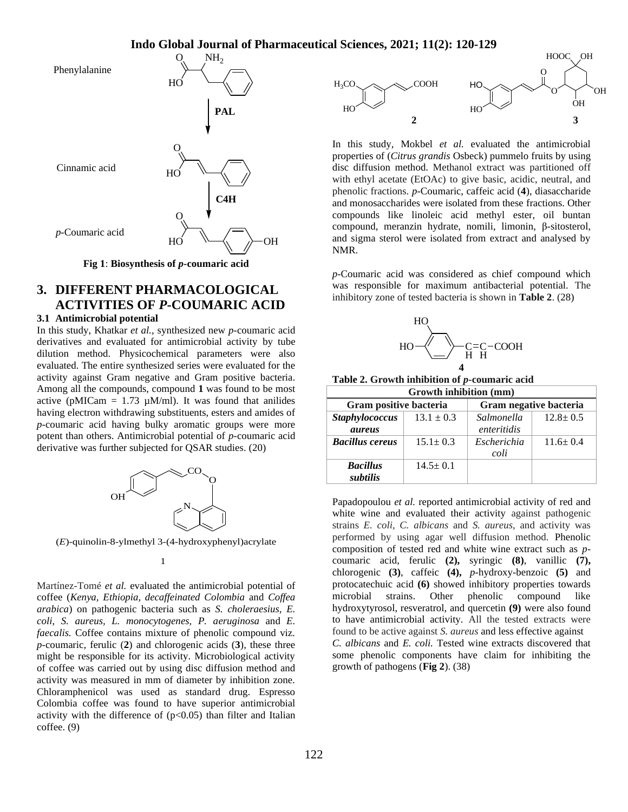

**Fig 1**: **Biosynthesis of** *p***-coumaric acid**

# **3. DIFFERENT PHARMACOLOGICAL ACTIVITIES OF** *P***-COUMARIC ACID**

## **3.1 Antimicrobial potential**

In this study, Khatkar *et al.,* synthesized new *p*-coumaric acid derivatives and evaluated for antimicrobial activity by tube dilution method. Physicochemical parameters were also evaluated. The entire synthesized series were evaluated for the activity against Gram negative and Gram positive bacteria. Among all the compounds, compound **1** was found to be most active (pMICam =  $1.73 \mu M/ml$ ). It was found that anilides having electron withdrawing substituents, esters and amides of *p*-coumaric acid having bulky aromatic groups were more potent than others. Antimicrobial potential of *p*-coumaric acid derivative was further subjected for QSAR studies. (20)



(*E*)-quinolin-8-ylmethyl 3-(4-hydroxyphenyl)acrylate



Martínez-Tomé*et al.* evaluated the antimicrobial potential of coffee (*Kenya, Ethiopia, decaffeinated Colombia* and *Coffea arabica*) on pathogenic bacteria such as *S. choleraesius, E. coli, S. aureus, L. monocytogenes, P. aeruginosa* and *E. faecalis.* Coffee contains mixture of phenolic compound viz. *p-*coumaric, ferulic (**2**) and chlorogenic acids (**3**), these three might be responsible for its activity. Microbiological activity of coffee was carried out by using disc diffusion method and activity was measured in mm of diameter by inhibition zone. Chloramphenicol was used as standard drug. Espresso Colombia coffee was found to have superior antimicrobial activity with the difference of  $(p<0.05)$  than filter and Italian coffee. (9)



In this study, Mokbel *et al.* evaluated the antimicrobial properties of (*Citrus grandis* Osbeck) pummelo fruits by using disc diffusion method. Methanol extract was partitioned off with ethyl acetate (EtOAc) to give basic, acidic, neutral, and phenolic fractions. *p*-Coumaric, caffeic acid (**4**), diasaccharide and monosaccharides were isolated from these fractions. Other compounds like linoleic acid methyl ester, oil buntan compound, meranzin hydrate, nomili, limonin, β-sitosterol, and sigma sterol were isolated from extract and analysed by NMR.

*p-*Coumaric acid was considered as chief compound which was responsible for maximum antibacterial potential. The inhibitory zone of tested bacteria is shown in **Table 2**. (28)



**Table 2. Growth inhibition of** *p***-coumaric acid**

| Growth inhibition (mm)                  |                |                        |                |  |  |
|-----------------------------------------|----------------|------------------------|----------------|--|--|
| Gram positive bacteria                  |                | Gram negative bacteria |                |  |  |
| <b>Staphylococcus</b><br>$13.1 \pm 0.3$ |                | Salmonella             | $12.8 \pm 0.5$ |  |  |
| <i>aureus</i>                           |                | enteritidis            |                |  |  |
| <b>Bacillus cereus</b>                  | $15.1 \pm 0.3$ | Escherichia            | $11.6 \pm 0.4$ |  |  |
|                                         |                | coli                   |                |  |  |
| <b>Bacillus</b>                         | $14.5 \pm 0.1$ |                        |                |  |  |
| subtilis                                |                |                        |                |  |  |

Papadopoulou *et al.* reported antimicrobial activity of red and white wine and evaluated their activity against pathogenic strains *E. coli, C. albicans* and *S. aureus*, and activity was performed by using agar well diffusion method. Phenolic composition of tested red and white wine extract such as *p*coumaric acid, ferulic **(2),** syringic **(8)**, vanillic **(7),** chlorogenic **(3)**, caffeic **(4),** *p*-hydroxy-benzoic **(5)** and protocatechuic acid **(6)** showed inhibitory properties towards microbial strains. Other phenolic compound like hydroxytyrosol, resveratrol, and quercetin **(9)** were also found to have antimicrobial activity. All the tested extracts were found to be active against *S. aureus* and less effective against *C. albicans* and *E. coli.* Tested wine extracts discovered that some phenolic components have claim for inhibiting the growth of pathogens (**Fig 2**). (38)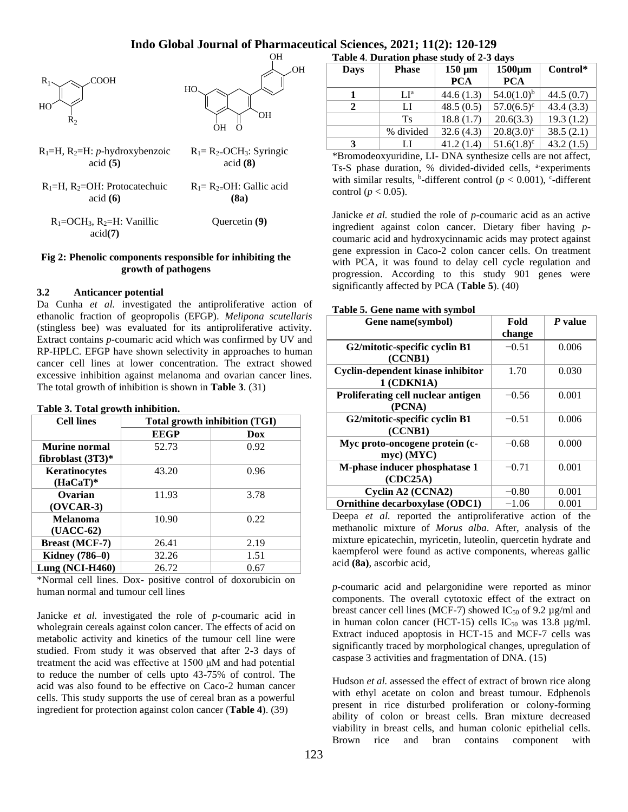

## **Fig 2: Phenolic components responsible for inhibiting the growth of pathogens**

### **3.2 Anticancer potential**

Da Cunha *et al.* investigated the antiproliferative action of ethanolic fraction of geopropolis (EFGP). *Melipona scutellaris* (stingless bee) was evaluated for its antiproliferative activity. Extract contains *p-*coumaric acid which was confirmed by UV and RP-HPLC. EFGP have shown selectivity in approaches to human cancer cell lines at lower concentration. The extract showed excessive inhibition against melanoma and ovarian cancer lines. The total growth of inhibition is shown in **Table 3**. (31)

#### **Table 3. Total growth inhibition.**

| <b>Cell lines</b>     | Total growth inhibition (TGI) |      |  |
|-----------------------|-------------------------------|------|--|
|                       | <b>EEGP</b>                   | Dox  |  |
| Murine normal         | 52.73                         | 0.92 |  |
| fibroblast $(3T3)*$   |                               |      |  |
| Keratinocytes         | 43.20                         | 0.96 |  |
| $(HaCaT)$ *           |                               |      |  |
| Ovarian               | 11.93                         | 3.78 |  |
| $(OVCAR-3)$           |                               |      |  |
| <b>Melanoma</b>       | 10.90                         | 0.22 |  |
| $(UACC-62)$           |                               |      |  |
| <b>Breast (MCF-7)</b> | 26.41                         | 2.19 |  |
| <b>Kidney</b> (786-0) | 32.26                         | 1.51 |  |
| Lung $(NCI-H460)$     | 26.72                         | 0.67 |  |

\*Normal cell lines. Dox- positive control of doxorubicin on human normal and tumour cell lines

Janicke *et al.* investigated the role of *p*-coumaric acid in wholegrain cereals against colon cancer. The effects of acid on metabolic activity and kinetics of the tumour cell line were studied. From study it was observed that after 2-3 days of treatment the acid was effective at 1500 μM and had potential to reduce the number of cells upto 43-75% of control. The acid was also found to be effective on Caco-2 human cancer cells. This study supports the use of cereal bran as a powerful ingredient for protection against colon cancer (**Table 4**). (39)

|                                                                                                | $LI^a$                                                      | 44.6(1.3) | $54.0(1.0)^{b}$ | 44.5(0.7) |  |  |  |
|------------------------------------------------------------------------------------------------|-------------------------------------------------------------|-----------|-----------------|-----------|--|--|--|
| 2                                                                                              | LI                                                          | 48.5(0.5) | $57.0(6.5)^c$   | 43.4(3.3) |  |  |  |
|                                                                                                | Ts.                                                         | 18.8(1.7) | 20.6(3.3)       | 19.3(1.2) |  |  |  |
|                                                                                                | % divided                                                   | 32.6(4.3) | $20.8(3.0)^c$   | 38.5(2.1) |  |  |  |
| 3                                                                                              | LI                                                          | 41.2(1.4) | $51.6(1.8)^c$   | 43.2(1.5) |  |  |  |
| *Bromodeoxyuridine, LI- DNA synthesize cells are not affect,                                   |                                                             |           |                 |           |  |  |  |
|                                                                                                | Ts-S phase duration, % divided-divided cells, a-experiments |           |                 |           |  |  |  |
| with similar results, <sup>b</sup> -different control ( $p < 0.001$ ), <sup>c</sup> -different |                                                             |           |                 |           |  |  |  |
| control ( $p < 0.05$ ).                                                                        |                                                             |           |                 |           |  |  |  |
|                                                                                                |                                                             |           |                 |           |  |  |  |

**PCA**

**1500µm PCA**

**Control\***

**Table 4**. **Duration phase study of 2-3 days Days Phase 150 µm** 

Janicke *et al.* studied the role of *p*-coumaric acid as an active ingredient against colon cancer. Dietary fiber having *p*coumaric acid and hydroxycinnamic acids may protect against gene expression in Caco-2 colon cancer cells. On treatment with PCA, it was found to delay cell cycle regulation and progression. According to this study 901 genes were significantly affected by PCA (**Table 5**). (40)

#### **Table 5. Gene name with symbol**

| Gene name(symbol)                  | Fold    | P value |
|------------------------------------|---------|---------|
|                                    | change  |         |
| G2/mitotic-specific cyclin B1      | $-0.51$ | 0.006   |
| (CCNB1)                            |         |         |
| Cyclin-dependent kinase inhibitor  | 1.70    | 0.030   |
| 1 (CDKN1A)                         |         |         |
| Proliferating cell nuclear antigen | $-0.56$ | 0.001   |
| (PCNA)                             |         |         |
| G2/mitotic-specific cyclin B1      | $-0.51$ | 0.006   |
| (CCNB1)                            |         |         |
| Myc proto-oncogene protein (c-     | $-0.68$ | 0.000   |
| myc) (MYC)                         |         |         |
| M-phase inducer phosphatase 1      | $-0.71$ | 0.001   |
| (CDC25A)                           |         |         |
| Cyclin A2 (CCNA2)                  | $-0.80$ | 0.001   |
| Ornithine decarboxylase (ODC1)     | $-1.06$ | 0.001   |

Deepa *et al.* reported the antiproliferative action of the methanolic mixture of *Morus alba*. After, analysis of the mixture epicatechin, myricetin, luteolin, quercetin hydrate and kaempferol were found as active components, whereas gallic acid **(8a)**, ascorbic acid,

*p*-coumaric acid and pelargonidine were reported as minor components. The overall cytotoxic effect of the extract on breast cancer cell lines (MCF-7) showed  $IC_{50}$  of 9.2 µg/ml and in human colon cancer (HCT-15) cells  $IC_{50}$  was 13.8  $\mu$ g/ml. Extract induced apoptosis in HCT-15 and MCF-7 cells was significantly traced by morphological changes, upregulation of caspase 3 activities and fragmentation of DNA. (15)

Hudson *et al.* assessed the effect of extract of brown rice along with ethyl acetate on colon and breast tumour. Edphenols present in rice disturbed proliferation or colony-forming ability of colon or breast cells. Bran mixture decreased viability in breast cells, and human colonic epithelial cells. Brown rice and bran contains component with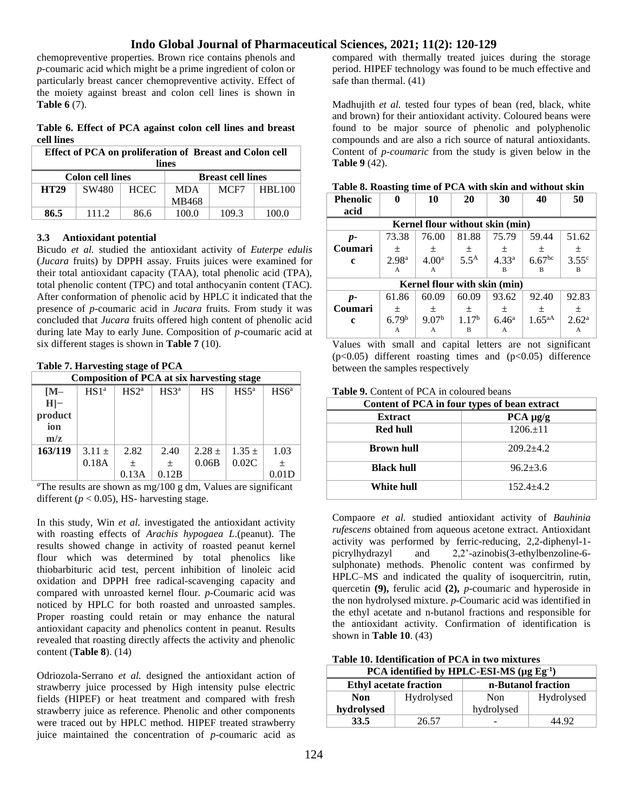chemopreventive properties. Brown rice contains phenols and *p*-coumaric acid which might be a prime ingredient of colon or particularly breast cancer chemopreventive activity. Effect of the moiety against breast and colon cell lines is shown in **Table 6** (7).

**Table 6. Effect of PCA against colon cell lines and breast cell lines**

| Effect of PCA on proliferation of Breast and Colon cell<br>lines |       |             |            |       |               |
|------------------------------------------------------------------|-------|-------------|------------|-------|---------------|
| <b>Breast cell lines</b><br><b>Colon cell lines</b>              |       |             |            |       |               |
| <b>HT29</b>                                                      | SW480 | <b>HCEC</b> | <b>MDA</b> | MCF7  | <b>HBL100</b> |
|                                                                  |       |             | MB468      |       |               |
| 86.5                                                             | 111.2 | 86.6        | 100.0      | 109.3 | 100.0         |

### **3.3 Antioxidant potential**

Bicudo *et al.* studied the antioxidant activity of *Euterpe edulis* (*Jucara* fruits) by DPPH assay. Fruits juices were examined for their total antioxidant capacity (TAA), total phenolic acid (TPA), total phenolic content (TPC) and total anthocyanin content (TAC). After conformation of phenolic acid by HPLC it indicated that the presence of *p*-coumaric acid in *Jucara* fruits. From study it was concluded that *Jucara* fruits offered high content of phenolic acid during late May to early June. Composition of *p*-coumaric acid at six different stages is shown in **Table 7** (10).

#### **Table 7. Harvesting stage of PCA**

| <b>Composition of PCA at six harvesting stage</b> |                  |                  |                  |           |                  |                  |
|---------------------------------------------------|------------------|------------------|------------------|-----------|------------------|------------------|
| $IM-$                                             | HS1 <sup>a</sup> | HS2 <sup>a</sup> | HS3 <sup>a</sup> | <b>HS</b> | HS5 <sup>a</sup> | HS6 <sup>a</sup> |
| $H$ -                                             |                  |                  |                  |           |                  |                  |
| product                                           |                  |                  |                  |           |                  |                  |
| ion                                               |                  |                  |                  |           |                  |                  |
| m/z                                               |                  |                  |                  |           |                  |                  |
| 163/119                                           | $3.11 \pm$       | 2.82             | 2.40             | $2.28 +$  | $1.35 +$         | 1.03             |
|                                                   | 0.18A            | $\pm$            | $\pm$            | 0.06B     | 0.02C            | $\pm$            |
|                                                   |                  | 0.13A            | 0.12B            |           |                  | 0.01D            |

*<sup>a</sup>*The results are shown as mg/100 g dm, Values are significant different ( $p < 0.05$ ), HS- harvesting stage.

In this study, Win *et al.* investigated the antioxidant activity with roasting effects of *Arachis hypogaea L*.(peanut). The results showed change in activity of roasted peanut kernel flour which was determined by total phenolics like thiobarbituric acid test, percent inhibition of linoleic acid oxidation and DPPH free radical-scavenging capacity and compared with unroasted kernel flour. *p-*Coumaric acid was noticed by HPLC for both roasted and unroasted samples. Proper roasting could retain or may enhance the natural antioxidant capacity and phenolics content in peanut. Results revealed that roasting directly affects the activity and phenolic content (**Table 8**). (14)

Odriozola-Serrano *et al.* designed the antioxidant action of strawberry juice processed by High intensity pulse electric fields (HIPEF) or heat treatment and compared with fresh strawberry juice as reference. Phenolic and other components were traced out by HPLC method. HIPEF treated strawberry juice maintained the concentration of *p-*coumaric acid as

compared with thermally treated juices during the storage period. HIPEF technology was found to be much effective and safe than thermal. (41)

Madhujith *et al.* tested four types of bean (red, black, white and brown) for their antioxidant activity. Coloured beans were found to be major source of phenolic and polyphenolic compounds and are also a rich source of natural antioxidants. Content of *p-coumaric* from the study is given below in the **Table 9** (42).

| <b>Phenolic</b>              |                   | 10                              | 20                | 30                | 40        | 50                |
|------------------------------|-------------------|---------------------------------|-------------------|-------------------|-----------|-------------------|
| acid                         |                   |                                 |                   |                   |           |                   |
|                              |                   | Kernel flour without skin (min) |                   |                   |           |                   |
| $p-$                         | 73.38             | 76.00                           | 81.88             | 75.79             | 59.44     | 51.62             |
| Coumari                      | $\pm$             | 土                               | 土                 | 土                 | 土         | 土                 |
| c                            | 2.98 <sup>a</sup> | 4.00 <sup>a</sup>               | 5.5 <sup>A</sup>  | 4.33 <sup>a</sup> | $6.67$ bc | $3.55^{\circ}$    |
|                              | A                 | A                               |                   | R                 | R         | B                 |
| Kernel flour with skin (min) |                   |                                 |                   |                   |           |                   |
| $p-$                         | 61.86             | 60.09                           | 60.09             | 93.62             | 92.40     | 92.83             |
| Coumari                      | $\pm$             | $\pm$                           | 土                 | 土                 | 土         | $\pm$             |
| c                            | 6.79 <sup>b</sup> | 9.07 <sup>b</sup>               | 1.17 <sup>b</sup> | $6.46^{\rm a}$    | $1.65aA}$ | 2.62 <sup>a</sup> |
|                              | A                 | A                               | B                 | А                 |           | A                 |

Values with small and capital letters are not significant  $(p<0.05)$  different roasting times and  $(p<0.05)$  difference between the samples respectively

**Table 9.** Content of PCA in coloured beans

| Content of PCA in four types of bean extract |               |  |  |  |
|----------------------------------------------|---------------|--|--|--|
| <b>Extract</b>                               | $PCA \mu g/g$ |  |  |  |
| Red hull                                     | $1206.+11$    |  |  |  |
| <b>Brown hull</b>                            | $209.2 + 4.2$ |  |  |  |
| <b>Black hull</b>                            | $96.2 + 3.6$  |  |  |  |
| White hull                                   | $152.4 + 4.2$ |  |  |  |

Compaore *et al.* studied antioxidant activity of *Bauhinia rufescens* obtained from aqueous acetone extract. Antioxidant activity was performed by ferric-reducing, 2,2-diphenyl-1 picrylhydrazyl and 2,2'-azinobis(3-ethylbenzoline-6 sulphonate) methods. Phenolic content was confirmed by HPLC–MS and indicated the quality of isoquercitrin, rutin, quercetin **(9),** ferulic acid **(2),** *p*-coumaric and hyperoside in the non hydrolysed mixture. *p*-Coumaric acid was identified in the ethyl acetate and n-butanol fractions and responsible for the antioxidant activity. Confirmation of identification is shown in **Table 10**. (43)

**Table 10. Identification of PCA in two mixtures**

| PCA identified by HPLC-ESI-MS ( $\mu$ g Eg <sup>-1</sup> ) |                               |                    |            |  |  |
|------------------------------------------------------------|-------------------------------|--------------------|------------|--|--|
|                                                            | <b>Ethyl acetate fraction</b> | n-Butanol fraction |            |  |  |
| <b>Non</b>                                                 | Hydrolysed                    | Non                | Hydrolysed |  |  |
| hydrolysed                                                 |                               | hydrolysed         |            |  |  |
| 33.5                                                       | 26.57                         |                    | 44.92      |  |  |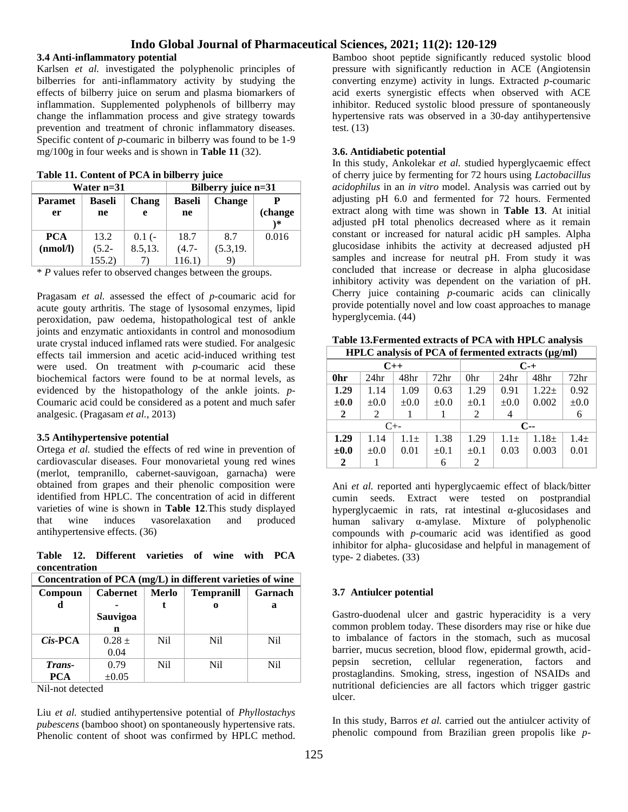### **3.4 Anti-inflammatory potential**

Karlsen *et al.* investigated the polyphenolic principles of bilberries for anti-inflammatory activity by studying the effects of bilberry juice on serum and plasma biomarkers of inflammation. Supplemented polyphenols of billberry may change the inflammation process and give strategy towards prevention and treatment of chronic inflammatory diseases. Specific content of *p*-coumaric in bilberry was found to be 1-9 mg/100g in four weeks and is shown in **Table 11** (32).

| Water n=31     |                        |         | Bilberry juice n=31 |               |                |  |
|----------------|------------------------|---------|---------------------|---------------|----------------|--|
| <b>Paramet</b> | <b>Baseli</b><br>Chang |         | Baseli              | <b>Change</b> |                |  |
| er             | ne                     | e       | ne                  |               | (change<br>`*` |  |
|                |                        |         |                     |               |                |  |
| <b>PCA</b>     | 13.2                   | $0.1(-$ | 18.7                | 8.7           | 0.016          |  |
| (nmol/l)       | $(5.2 -$               | 8.5,13. | $(4.7 -$            | (5.3, 19.     |                |  |
|                | 155.2)                 |         | 116.1)              |               |                |  |

\* *P* values refer to observed changes between the groups.

Pragasam *et al.* assessed the effect of *p*-coumaric acid for acute gouty arthritis. The stage of lysosomal enzymes, lipid peroxidation, paw oedema, histopathological test of ankle joints and enzymatic antioxidants in control and monosodium urate crystal induced inflamed rats were studied. For analgesic effects tail immersion and acetic acid-induced writhing test were used. On treatment with *p*-coumaric acid these biochemical factors were found to be at normal levels, as evidenced by the histopathology of the ankle joints. *p*-Coumaric acid could be considered as a potent and much safer analgesic. (Pragasam *et al.,* 2013)

### **3.5 Antihypertensive potential**

Ortega *et al.* studied the effects of red wine in prevention of cardiovascular diseases. Four monovarietal young red wines (merlot, tempranillo, cabernet-sauvigoan, garnacha) were obtained from grapes and their phenolic composition were identified from HPLC. The concentration of acid in different varieties of wine is shown in **Table 12**.This study displayed that wine induces vasorelaxation and produced antihypertensive effects. (36)

**Table 12. Different varieties of wine with PCA concentration**

| Concentration of PCA (mg/L) in different varieties of wine |                 |              |                   |         |  |
|------------------------------------------------------------|-----------------|--------------|-------------------|---------|--|
| Compoun                                                    | <b>Cabernet</b> | <b>Merlo</b> | <b>Tempranill</b> | Garnach |  |
|                                                            |                 |              | 0                 | a       |  |
|                                                            | Sauvigoa        |              |                   |         |  |
|                                                            | n               |              |                   |         |  |
| $Cis$ -PCA                                                 | $0.28 +$        | Nil          | Ni1               | Nil     |  |
|                                                            | 0.04            |              |                   |         |  |
| Trans-                                                     | 0.79            | Nil          | Ni1               | Nil     |  |
| <b>PCA</b>                                                 | $\pm 0.05$      |              |                   |         |  |

Nil-not detected

Liu *et al.* studied antihypertensive potential of *Phyllostachys pubescens* (bamboo shoot) on spontaneously hypertensive rats. Phenolic content of shoot was confirmed by HPLC method.

Bamboo shoot peptide significantly reduced systolic blood pressure with significantly reduction in ACE (Angiotensin converting enzyme) activity in lungs. Extracted *p-*coumaric acid exerts synergistic effects when observed with ACE inhibitor. Reduced systolic blood pressure of spontaneously hypertensive rats was observed in a 30-day antihypertensive test. (13)

## **3.6. Antidiabetic potential**

In this study, Ankolekar *et al.* studied hyperglycaemic effect of cherry juice by fermenting for 72 hours using *Lactobacillus acidophilus* in an *in vitro* model. Analysis was carried out by adjusting pH 6.0 and fermented for 72 hours. Fermented extract along with time was shown in **Table 13**. At initial adjusted pH total phenolics decreased where as it remain constant or increased for natural acidic pH samples. Alpha glucosidase inhibits the activity at decreased adjusted pH samples and increase for neutral pH. From study it was concluded that increase or decrease in alpha glucosidase inhibitory activity was dependent on the variation of pH. Cherry juice containing *p-*coumaric acids can clinically provide potentially novel and low coast approaches to manage hyperglycemia. (44)

| HPLC analysis of PCA of fermented extracts (µg/ml) |                  |           |                  |           |                  |          |                  |
|----------------------------------------------------|------------------|-----------|------------------|-----------|------------------|----------|------------------|
| $C++$                                              |                  |           | $C_{-+}$         |           |                  |          |                  |
| 0hr                                                | 24 <sub>hr</sub> | 48hr      | 72 <sub>hr</sub> | 0hr       | 24 <sub>hr</sub> | 48hr     | 72 <sub>hr</sub> |
| 1.29                                               | 1.14             | 1.09      | 0.63             | 1.29      | 0.91             | $1.22 +$ | 0.92             |
| $\pm 0.0$                                          | $\pm 0.0$        | $\pm 0.0$ | $\pm 0.0$        | $\pm 0.1$ | $\pm 0.0$        | 0.002    | $\pm 0.0$        |
| $\mathbf{2}$                                       | 2                |           |                  | 2         | 4                |          | 6                |
| $C_{+-}$                                           |                  |           |                  |           | $C-$             |          |                  |
| 1.29                                               | 1.14             | $1.1\pm$  | 1.38             | 1.29      | $1.1\pm$         | $1.18 +$ | $1.4 +$          |
| $\pm 0.0$                                          | $\pm 0.0$        | 0.01      | $\pm 0.1$        | $\pm 0.1$ | 0.03             | 0.003    | 0.01             |
| $\mathbf{2}$                                       |                  |           | 6                | 2         |                  |          |                  |

**Table 13.Fermented extracts of PCA with HPLC analysis HPLC analysis of PCA of fermented extracts (µg/ml)**

Ani *et al.* reported anti hyperglycaemic effect of black/bitter cumin seeds. Extract were tested on postprandial hyperglycaemic in rats, rat intestinal α-glucosidases and human salivary α-amylase. Mixture of polyphenolic compounds with *p*-coumaric acid was identified as good inhibitor for alpha- glucosidase and helpful in management of type- 2 diabetes. (33)

## **3.7 Antiulcer potential**

Gastro-duodenal ulcer and gastric hyperacidity is a very common problem today. These disorders may rise or hike due to imbalance of factors in the stomach, such as mucosal barrier, mucus secretion, blood flow, epidermal growth, acidpepsin secretion, cellular regeneration, factors and prostaglandins. Smoking, stress, ingestion of NSAIDs and nutritional deficiencies are all factors which trigger gastric ulcer.

In this study, Barros *et al.* carried out the antiulcer activity of phenolic compound from Brazilian green propolis like *p*-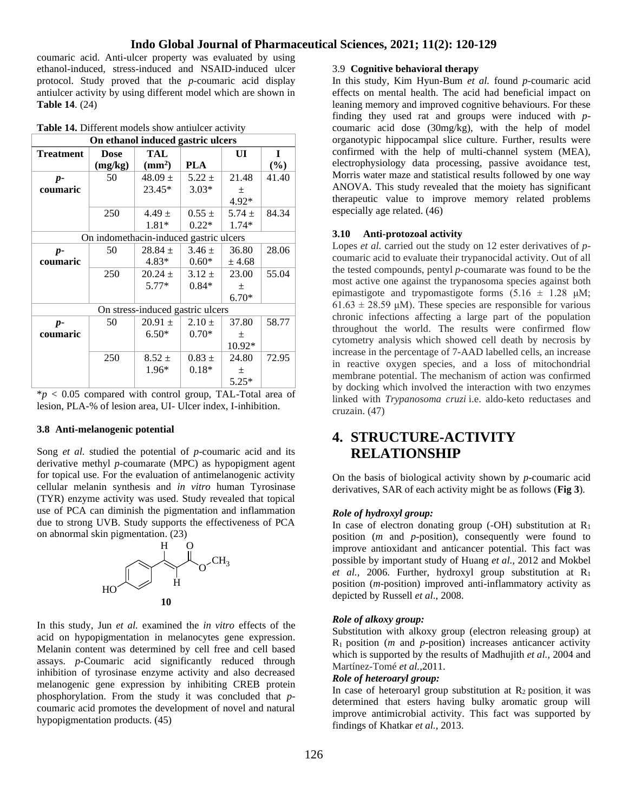coumaric acid. Anti-ulcer property was evaluated by using ethanol-induced, stress-induced and NSAID-induced ulcer protocol. Study proved that the *p*-coumaric acid display antiulcer activity by using different model which are shown in **Table 14**. (24)

| Table 14. Different models show antiulcer activity |  |
|----------------------------------------------------|--|
|----------------------------------------------------|--|

| On ethanol induced gastric ulcers |                                        |                         |            |            |        |  |
|-----------------------------------|----------------------------------------|-------------------------|------------|------------|--------|--|
| <b>Treatment</b>                  | <b>Dose</b>                            | TAL                     |            | UI         | 1      |  |
|                                   | (mg/kg)                                | $\text{ (mm}^2\text{)}$ | PLA        |            | $(\%)$ |  |
| $p-$                              | 50                                     | $48.09 \pm$             | $5.22 \pm$ | 21.48      | 41.40  |  |
| coumaric                          |                                        | $23.45*$                | $3.03*$    | $\pm$      |        |  |
|                                   |                                        |                         |            | $4.92*$    |        |  |
|                                   | 250                                    | $4.49 \pm$              | $0.55 \pm$ | 5.74 $\pm$ | 84.34  |  |
|                                   |                                        | $1.81*$                 | $0.22*$    | $1.74*$    |        |  |
|                                   | On indomethacin-induced gastric ulcers |                         |            |            |        |  |
| $p-$                              | 50                                     | $28.84 \pm$             | $3.46 \pm$ | 36.80      | 28.06  |  |
| coumaric                          |                                        | $4.83*$                 | $0.60*$    | ± 4.68     |        |  |
|                                   | 250                                    | $20.24 \pm$             | $3.12 \pm$ | 23.00      | 55.04  |  |
|                                   |                                        | $5.77*$                 | $0.84*$    | 土          |        |  |
|                                   |                                        |                         |            | $6.70*$    |        |  |
| On stress-induced gastric ulcers  |                                        |                         |            |            |        |  |
| $p-$                              | 50                                     | $20.91 \pm$             | $2.10 \pm$ | 37.80      | 58.77  |  |
| coumaric                          |                                        | $6.50*$                 | $0.70*$    | 土          |        |  |
|                                   |                                        |                         |            | 10.92*     |        |  |
|                                   | 250                                    | $8.52 \pm$              | $0.83 \pm$ | 24.80      | 72.95  |  |
|                                   |                                        | $1.96*$                 | $0.18*$    | 土          |        |  |
|                                   |                                        |                         |            | $5.25*$    |        |  |

\**p* < 0.05 compared with control group, TAL-Total area of lesion, PLA-% of lesion area, UI- Ulcer index, I-inhibition.

#### **3.8 Anti-melanogenic potential**

Song *et al.* studied the potential of *p*-coumaric acid and its derivative methyl *p*-coumarate (MPC) as hypopigment agent for topical use. For the evaluation of antimelanogenic activity cellular melanin synthesis and *in vitro* human Tyrosinase (TYR) enzyme activity was used. Study revealed that topical use of PCA can diminish the pigmentation and inflammation due to strong UVB. Study supports the effectiveness of PCA on abnormal skin pigmentation. (23)



In this study, Jun *et al.* examined the *in vitro* effects of the acid on hypopigmentation in melanocytes gene expression. Melanin content was determined by cell free and cell based assays. *p*-Coumaric acid significantly reduced through inhibition of tyrosinase enzyme activity and also decreased melanogenic gene expression by inhibiting CREB protein phosphorylation. From the study it was concluded that *p*coumaric acid promotes the development of novel and natural hypopigmentation products. (45)

### 3.9 **Cognitive behavioral therapy**

In this study, Kim Hyun-Bum *et al.* found *p*-coumaric acid effects on mental health. The acid had beneficial impact on leaning memory and improved cognitive behaviours. For these finding they used rat and groups were induced with *p*coumaric acid dose (30mg/kg), with the help of model organotypic hippocampal slice culture. Further, results were confirmed with the help of multi-channel system (MEA), electrophysiology data processing, passive avoidance test, Morris water maze and statistical results followed by one way ANOVA. This study revealed that the moiety has significant therapeutic value to improve memory related problems especially age related. (46)

#### **3.10 Anti-protozoal activity**

Lopes *et al.* carried out the study on 12 ester derivatives of *p*coumaric acid to evaluate their trypanocidal activity. Out of all the tested compounds, pentyl *p*-coumarate was found to be the most active one against the trypanosoma species against both epimastigote and trypomastigote forms  $(5.16 \pm 1.28 \mu M)$ ;  $61.63 \pm 28.59 \mu M$ ). These species are responsible for various chronic infections affecting a large part of the population throughout the world. The results were confirmed flow cytometry analysis which showed cell death by necrosis by increase in the percentage of 7-AAD labelled cells, an increase in reactive oxygen species, and a loss of mitochondrial membrane potential. The mechanism of action was confirmed by docking which involved the interaction with two enzymes linked with *Trypanosoma cruzi* i.e. aldo-keto reductases and cruzain. (47)

# **4. STRUCTURE-ACTIVITY RELATIONSHIP**

On the basis of biological activity shown by *p*-coumaric acid derivatives, SAR of each activity might be as follows (**Fig 3**).

### *Role of hydroxyl group:*

In case of electron donating group (-OH) substitution at  $R_1$ position (*m* and *p*-position), consequently were found to improve antioxidant and anticancer potential. This fact was possible by important study of Huang *et al.,* 2012 and Mokbel *et al.,* 2006. Further, hydroxyl group substitution at R<sup>1</sup> position (*m*-position) improved anti-inflammatory activity as depicted by Russell *et al*., 2008.

#### *Role of alkoxy group:*

Substitution with alkoxy group (electron releasing group) at R1 position (*m* and *p*-position) increases anticancer activity which is supported by the results of Madhujith *et al.,* 2004 and Martínez-Tomé*et al.,*2011.

### *Role of heteroaryl group:*

In case of heteroaryl group substitution at  $R_2$  position, it was determined that esters having bulky aromatic group will improve antimicrobial activity. This fact was supported by findings of Khatkar *et al.,* 2013.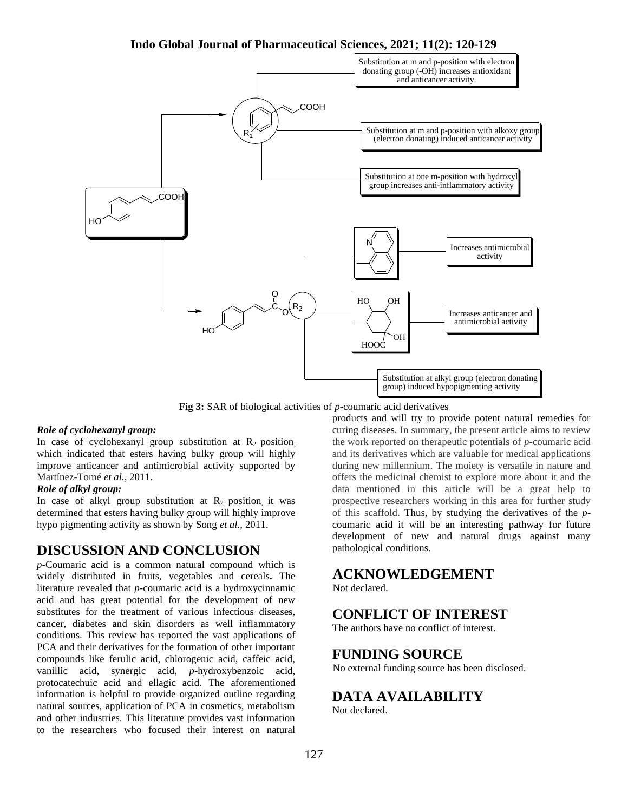

**Fig 3:** SAR of biological activities of *p*-coumaric acid derivatives

### *Role of cyclohexanyl group:*

In case of cyclohexanyl group substitution at  $R_2$  position, which indicated that esters having bulky group will highly improve anticancer and antimicrobial activity supported by Martínez-Tomé*et al.,* 2011.

### *Role of alkyl group:*

In case of alkyl group substitution at  $R_2$  position, it was determined that esters having bulky group will highly improve hypo pigmenting activity as shown by Song *et al.,* 2011.

## **DISCUSSION AND CONCLUSION**

*p*-Coumaric acid is a common natural compound which is widely distributed in fruits, vegetables and cereals**.** The literature revealed that *p*-coumaric acid is a hydroxycinnamic acid and has great potential for the development of new substitutes for the treatment of various infectious diseases, cancer, diabetes and skin disorders as well inflammatory conditions. This review has reported the vast applications of PCA and their derivatives for the formation of other important compounds like ferulic acid, chlorogenic acid, caffeic acid, vanillic acid, synergic acid, *p*-hydroxybenzoic acid, protocatechuic acid and ellagic acid. The aforementioned information is helpful to provide organized outline regarding natural sources, application of PCA in cosmetics, metabolism and other industries. This literature provides vast information to the researchers who focused their interest on natural

products and will try to provide potent natural remedies for curing diseases. In summary, the present article aims to review the work reported on therapeutic potentials of *p*-coumaric acid and its derivatives which are valuable for medical applications during new millennium. The moiety is versatile in nature and offers the medicinal chemist to explore more about it and the data mentioned in this article will be a great help to prospective researchers working in this area for further study of this scaffold. Thus, by studying the derivatives of the *p*coumaric acid it will be an interesting pathway for future development of new and natural drugs against many pathological conditions.

# **ACKNOWLEDGEMENT**

Not declared.

# **CONFLICT OF INTEREST**

The authors have no conflict of interest.

# **FUNDING SOURCE**

No external funding source has been disclosed.

# **DATA AVAILABILITY**

Not declared.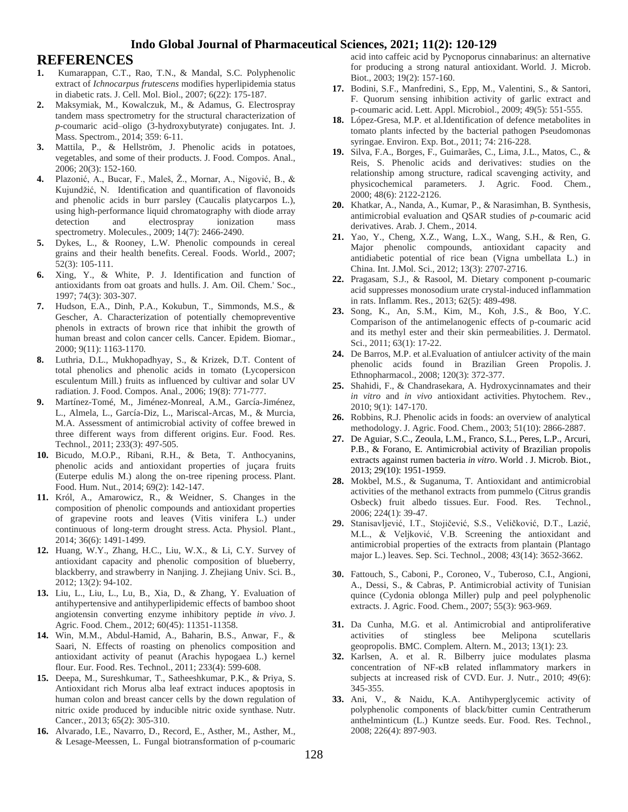## **REFERENCES**

- **1.** Kumarappan, C.T., Rao, T.N., & Mandal, S.C. Polyphenolic extract of *Ichnocarpus frutescens* modifies hyperlipidemia status in diabetic rats. J. Cell. Mol. Biol., 2007; 6(22): 175-187.
- **2.** Maksymiak, M., Kowalczuk, M., & Adamus, G. Electrospray tandem mass spectrometry for the structural characterization of *p*-coumaric acid–oligo (3-hydroxybutyrate) conjugates. Int. J. Mass. Spectrom., 2014; 359: 6-11.
- **3.** Mattila, P., & Hellström, J. Phenolic acids in potatoes, vegetables, and some of their products. J. Food. Compos. Anal., 2006; 20(3): 152-160.
- **4.** Plazonić, A., Bucar, F., Maleš, Ž., Mornar, A., Nigović, B., & Kujundžić, N. Identification and quantification of flavonoids and phenolic acids in burr parsley (Caucalis platycarpos L.), using high-performance liquid chromatography with diode array detection and electrospray ionization mass spectrometry. Molecules., 2009; 14(7): 2466-2490.
- **5.** Dykes, L., & Rooney, L.W. Phenolic compounds in cereal grains and their health benefits. Cereal. Foods. World., 2007; 52(3): 105-111.
- **6.** Xing, Y., & White, P. J. Identification and function of antioxidants from oat groats and hulls. J. Am. Oil. Chem.' Soc., 1997; 74(3): 303-307.
- **7.** Hudson, E.A., Dinh, P.A., Kokubun, T., Simmonds, M.S., & Gescher, A. Characterization of potentially chemopreventive phenols in extracts of brown rice that inhibit the growth of human breast and colon cancer cells. Cancer. Epidem. Biomar., 2000; 9(11): 1163-1170.
- **8.** Luthria, D.L., Mukhopadhyay, S., & Krizek, D.T. Content of total phenolics and phenolic acids in tomato (Lycopersicon esculentum Mill.) fruits as influenced by cultivar and solar UV radiation. J. Food. Compos. Anal., 2006; 19(8): 771-777.
- **9.** Martínez-Tomé, M., Jiménez-Monreal, A.M., García-Jiménez, L., Almela, L., García-Diz, L., Mariscal-Arcas, M., & Murcia, M.A. Assessment of antimicrobial activity of coffee brewed in three different ways from different origins. Eur. Food. Res. Technol., 2011; 233(3): 497-505.
- **10.** Bicudo, M.O.P., Ribani, R.H., & Beta, T. Anthocyanins, phenolic acids and antioxidant properties of juçara fruits (Euterpe edulis M.) along the on-tree ripening process. Plant. Food. Hum. Nut., 2014; 69(2): 142-147.
- **11.** Król, A., Amarowicz, R., & Weidner, S. Changes in the composition of phenolic compounds and antioxidant properties of grapevine roots and leaves (Vitis vinifera L.) under continuous of long-term drought stress. Acta. Physiol. Plant., 2014; 36(6): 1491-1499.
- **12.** Huang, W.Y., Zhang, H.C., Liu, W.X., & Li, C.Y. Survey of antioxidant capacity and phenolic composition of blueberry, blackberry, and strawberry in Nanjing. J. Zhejiang Univ. Sci. B., 2012; 13(2): 94-102.
- **13.** Liu, L., Liu, L., Lu, B., Xia, D., & Zhang, Y. Evaluation of antihypertensive and antihyperlipidemic effects of bamboo shoot angiotensin converting enzyme inhibitory peptide *in vivo*. J. Agric. Food. Chem., 2012; 60(45): 11351-11358.
- **14.** Win, M.M., Abdul-Hamid, A., Baharin, B.S., Anwar, F., & Saari, N. Effects of roasting on phenolics composition and antioxidant activity of peanut (Arachis hypogaea L.) kernel flour. Eur. Food. Res. Technol., 2011; 233(4): 599-608.
- **15.** Deepa, M., Sureshkumar, T., Satheeshkumar, P.K., & Priya, S. Antioxidant rich Morus alba leaf extract induces apoptosis in human colon and breast cancer cells by the down regulation of nitric oxide produced by inducible nitric oxide synthase. Nutr. Cancer., 2013; 65(2): 305-310.
- **16.** Alvarado, I.E., Navarro, D., Record, E., Asther, M., Asther, M., & Lesage-Meessen, L. Fungal biotransformation of p-coumaric

acid into caffeic acid by Pycnoporus cinnabarinus: an alternative for producing a strong natural antioxidant. World. J. Microb. Biot., 2003; 19(2): 157-160.

- **17.** Bodini, S.F., Manfredini, S., Epp, M., Valentini, S., & Santori, F. Quorum sensing inhibition activity of garlic extract and p‐coumaric acid. Lett. Appl. Microbiol., 2009; 49(5): 551-555.
- **18.** López-Gresa, M.P. et al.Identification of defence metabolites in tomato plants infected by the bacterial pathogen Pseudomonas syringae. Environ. Exp. Bot., 2011; 74: 216-228.
- **19.** Silva, F.A., Borges, F., Guimarães, C., Lima, J.L., Matos, C., & Reis, S. Phenolic acids and derivatives: studies on the relationship among structure, radical scavenging activity, and physicochemical parameters. J. Agric. Food. Chem., 2000; 48(6): 2122-2126.
- **20.** Khatkar, A., Nanda, A., Kumar, P., & Narasimhan, B. Synthesis, antimicrobial evaluation and QSAR studies of *p*-coumaric acid derivatives. Arab. J. Chem., 2014.
- **21.** Yao, Y., Cheng, X.Z., Wang, L.X., Wang, S.H., & Ren, G. Major phenolic compounds, antioxidant capacity and antidiabetic potential of rice bean (Vigna umbellata L.) in China. Int. J.Mol. Sci., 2012; 13(3): 2707-2716.
- **22.** Pragasam, S.J., & Rasool, M. Dietary component p-coumaric acid suppresses monosodium urate crystal-induced inflammation in rats. Inflamm. Res., 2013; 62(5): 489-498.
- **23.** Song, K., An, S.M., Kim, M., Koh, J.S., & Boo, Y.C. Comparison of the antimelanogenic effects of p-coumaric acid and its methyl ester and their skin permeabilities. J. Dermatol. Sci., 2011; 63(1): 17-22.
- **24.** De Barros, M.P. et al.Evaluation of antiulcer activity of the main phenolic acids found in Brazilian Green Propolis. J. Ethnopharmacol., 2008; 120(3): 372-377.
- **25.** Shahidi, F., & Chandrasekara, A. Hydroxycinnamates and their *in vitro* and *in vivo* antioxidant activities. Phytochem. Rev., 2010; 9(1): 147-170.
- **26.** Robbins, R.J. Phenolic acids in foods: an overview of analytical methodology. J. Agric. Food. Chem., 2003; 51(10): 2866-2887.
- **27.** De Aguiar, S.C., Zeoula, L.M., Franco, S.L., Peres, L.P., Arcuri, P.B., & Forano, E. Antimicrobial activity of Brazilian propolis extracts against rumen bacteria *in vitro*. World . J. Microb. Biot., 2013; 29(10): 1951-1959.
- **28.** Mokbel, M.S., & Suganuma, T. Antioxidant and antimicrobial activities of the methanol extracts from pummelo (Citrus grandis Osbeck) fruit albedo tissues. Eur. Food. Res. Technol., 2006; 224(1): 39-47.
- **29.** Stanisavljević, I.T., Stojičević, S.S., Veličković, D.T., Lazić, M.L., & Veljković, V.B. Screening the antioxidant and antimicrobial properties of the extracts from plantain (Plantago major L.) leaves. Sep. Sci. Technol., 2008; 43(14): 3652-3662.
- **30.** Fattouch, S., Caboni, P., Coroneo, V., Tuberoso, C.I., Angioni, A., Dessi, S., & Cabras, P. Antimicrobial activity of Tunisian quince (Cydonia oblonga Miller) pulp and peel polyphenolic extracts. J. Agric. Food. Chem., 2007; 55(3): 963-969.
- **31.** Da Cunha, M.G. et al. Antimicrobial and antiproliferative activities of stingless bee Melipona scutellaris geopropolis. BMC. Complem. Altern. M., 2013; 13(1): 23.
- **32.** Karlsen, A. et al. R. Bilberry juice modulates plasma concentration of NF-κB related inflammatory markers in subjects at increased risk of CVD. Eur. J. Nutr., 2010; 49(6): 345-355.
- **33.** Ani, V., & Naidu, K.A. Antihyperglycemic activity of polyphenolic components of black/bitter cumin Centratherum anthelminticum (L.) Kuntze seeds. Eur. Food. Res. Technol., 2008; 226(4): 897-903.